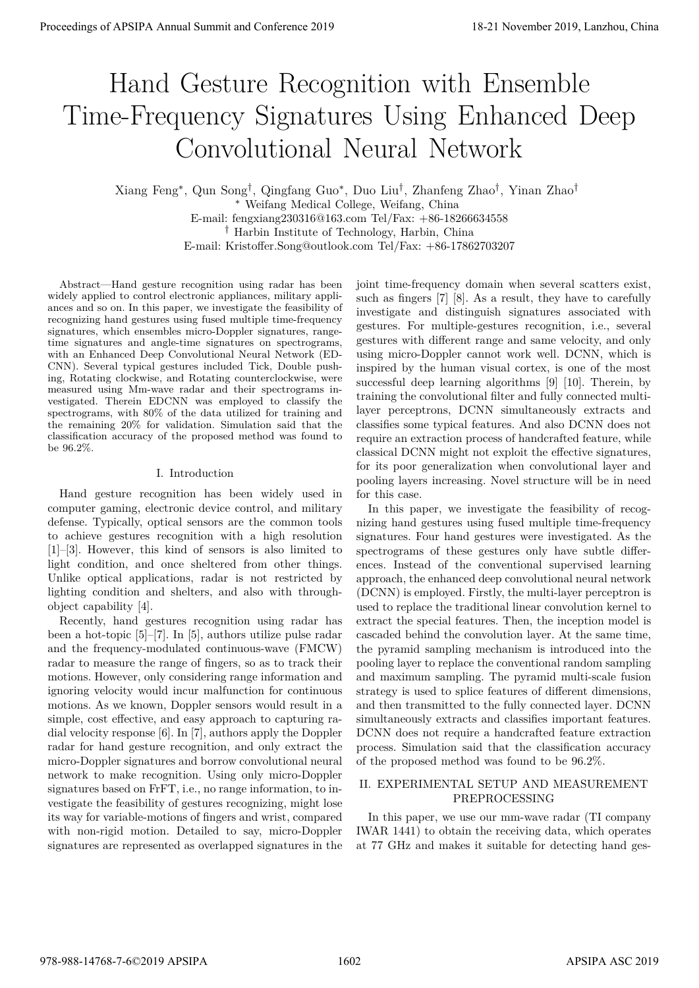# Hand Gesture Recognition with Ensemble Time-Frequency Signatures Using Enhanced Deep Convolutional Neural Network

Xiang Feng*<sup>∗</sup>* , Qun Song*†* , Qingfang Guo*<sup>∗</sup>* , Duo Liu*†* , Zhanfeng Zhao*†* , Yinan Zhao*† <sup>∗</sup>* Weifang Medical College, Weifang, China E-mail: fengxiang230316@163.com Tel/Fax: +86-18266634558 *†* Harbin Institute of Technology, Harbin, China E-mail: Kristoffer.Song@outlook.com Tel/Fax: +86-17862703207

Abstract—Hand gesture recognition using radar has been widely applied to control electronic appliances, military appliances and so on. In this paper, we investigate the feasibility of recognizing hand gestures using fused multiple time-frequency signatures, which ensembles micro-Doppler signatures, rangetime signatures and angle-time signatures on spectrograms, with an Enhanced Deep Convolutional Neural Network (ED-CNN). Several typical gestures included Tick, Double pushing, Rotating clockwise, and Rotating counterclockwise, were measured using Mm-wave radar and their spectrograms investigated. Therein EDCNN was employed to classify the spectrograms, with 80% of the data utilized for training and the remaining 20% for validation. Simulation said that the classification accuracy of the proposed method was found to be 96.2%.

# I. Introduction

Hand gesture recognition has been widely used in computer gaming, electronic device control, and military defense. Typically, optical sensors are the common tools to achieve gestures recognition with a high resolution [1]–[3]. However, this kind of sensors is also limited to light condition, and once sheltered from other things. Unlike optical applications, radar is not restricted by lighting condition and shelters, and also with throughobject capability [4].

Recently, hand gestures recognition using radar has been a hot-topic [5]–[7]. In [5], authors utilize pulse radar and the frequency-modulated continuous-wave (FMCW) radar to measure the range of fingers, so as to track their motions. However, only considering range information and ignoring velocity would incur malfunction for continuous motions. As we known, Doppler sensors would result in a simple, cost effective, and easy approach to capturing radial velocity response [6]. In [7], authors apply the Doppler radar for hand gesture recognition, and only extract the micro-Doppler signatures and borrow convolutional neural network to make recognition. Using only micro-Doppler signatures based on FrFT, i.e., no range information, to investigate the feasibility of gestures recognizing, might lose its way for variable-motions of fingers and wrist, compared with non-rigid motion. Detailed to say, micro-Doppler signatures are represented as overlapped signatures in the

joint time-frequency domain when several scatters exist, such as fingers [7] [8]. As a result, they have to carefully investigate and distinguish signatures associated with gestures. For multiple-gestures recognition, i.e., several gestures with different range and same velocity, and only using micro-Doppler cannot work well. DCNN, which is inspired by the human visual cortex, is one of the most successful deep learning algorithms [9] [10]. Therein, by training the convolutional filter and fully connected multilayer perceptrons, DCNN simultaneously extracts and classifies some typical features. And also DCNN does not require an extraction process of handcrafted feature, while classical DCNN might not exploit the effective signatures, for its poor generalization when convolutional layer and pooling layers increasing. Novel structure will be in need for this case.

In this paper, we investigate the feasibility of recognizing hand gestures using fused multiple time-frequency signatures. Four hand gestures were investigated. As the spectrograms of these gestures only have subtle differences. Instead of the conventional supervised learning approach, the enhanced deep convolutional neural network (DCNN) is employed. Firstly, the multi-layer perceptron is used to replace the traditional linear convolution kernel to extract the special features. Then, the inception model is cascaded behind the convolution layer. At the same time, the pyramid sampling mechanism is introduced into the pooling layer to replace the conventional random sampling and maximum sampling. The pyramid multi-scale fusion strategy is used to splice features of different dimensions, and then transmitted to the fully connected layer. DCNN simultaneously extracts and classifies important features. DCNN does not require a handcrafted feature extraction process. Simulation said that the classification accuracy of the proposed method was found to be 96.2%. **Proceedings of APSIPA Annual Summit at China 978-988-1488**<br> **Hand Gesture Recognition with Ensember 2019**<br>
Convolutional Neural Neural Neural Neural Neural Neural Neural Neural Neural Neural Neural Neural Neural Neural N

# II. EXPERIMENTAL SETUP AND MEASUREMENT PREPROCESSING

In this paper, we use our mm-wave radar (TI company IWAR 1441) to obtain the receiving data, which operates at 77 GHz and makes it suitable for detecting hand ges-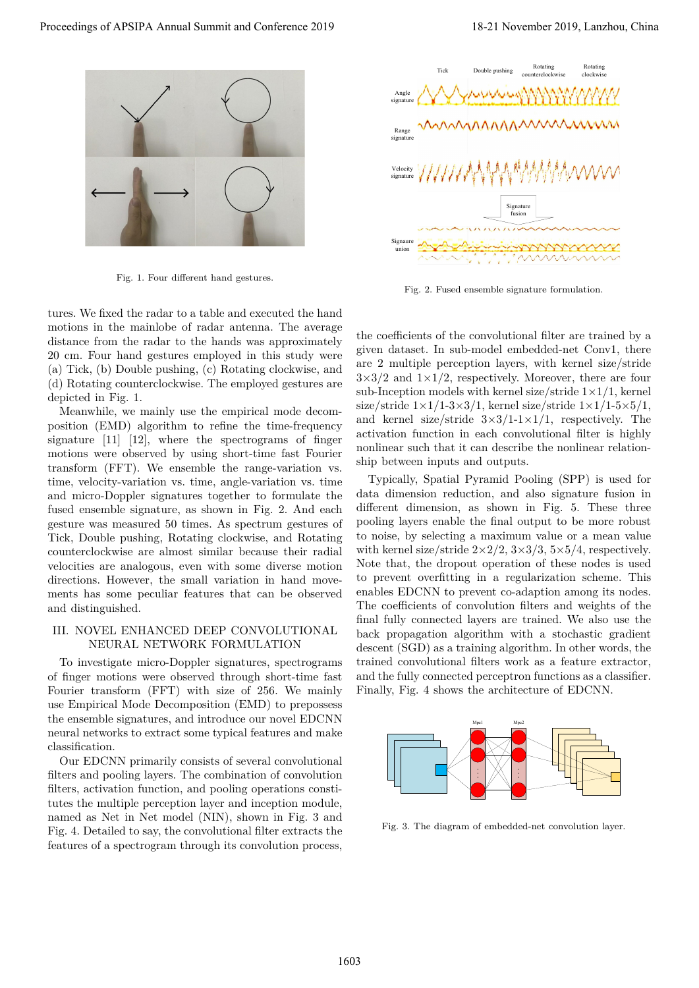

Fig. 1. Four different hand gestures.

tures. We fixed the radar to a table and executed the hand motions in the mainlobe of radar antenna. The average distance from the radar to the hands was approximately 20 cm. Four hand gestures employed in this study were (a) Tick, (b) Double pushing, (c) Rotating clockwise, and (d) Rotating counterclockwise. The employed gestures are depicted in Fig. 1.

Meanwhile, we mainly use the empirical mode decomposition (EMD) algorithm to refine the time-frequency signature [11] [12], where the spectrograms of finger motions were observed by using short-time fast Fourier transform (FFT). We ensemble the range-variation vs. time, velocity-variation vs. time, angle-variation vs. time and micro-Doppler signatures together to formulate the fused ensemble signature, as shown in Fig. 2. And each gesture was measured 50 times. As spectrum gestures of Tick, Double pushing, Rotating clockwise, and Rotating counterclockwise are almost similar because their radial velocities are analogous, even with some diverse motion directions. However, the small variation in hand movements has some peculiar features that can be observed and distinguished.

## III. NOVEL ENHANCED DEEP CONVOLUTIONAL NEURAL NETWORK FORMULATION

To investigate micro-Doppler signatures, spectrograms of finger motions were observed through short-time fast Fourier transform (FFT) with size of 256. We mainly use Empirical Mode Decomposition (EMD) to prepossess the ensemble signatures, and introduce our novel EDCNN neural networks to extract some typical features and make classification.

Our EDCNN primarily consists of several convolutional filters and pooling layers. The combination of convolution filters, activation function, and pooling operations constitutes the multiple perception layer and inception module, named as Net in Net model (NIN), shown in Fig. 3 and Fig. 4. Detailed to say, the convolutional filter extracts the features of a spectrogram through its convolution process,



Fig. 2. Fused ensemble signature formulation.

the coefficients of the convolutional filter are trained by a given dataset. In sub-model embedded-net Conv1, there are 2 multiple perception layers, with kernel size/stride  $3\times3/2$  and  $1\times1/2$ , respectively. Moreover, there are four sub-Inception models with kernel size/stride  $1\times1/1$ , kernel size/stride  $1 \times 1/1$ -3×3/1, kernel size/stride  $1 \times 1/1$ -5×5/1, and kernel size/stride  $3\times3/1-1\times1/1$ , respectively. The activation function in each convolutional filter is highly nonlinear such that it can describe the nonlinear relationship between inputs and outputs.

Typically, Spatial Pyramid Pooling (SPP) is used for data dimension reduction, and also signature fusion in different dimension, as shown in Fig. 5. These three pooling layers enable the final output to be more robust to noise, by selecting a maximum value or a mean value with kernel size/stride  $2\times2/2$ ,  $3\times3/3$ ,  $5\times5/4$ , respectively. Note that, the dropout operation of these nodes is used to prevent overfitting in a regularization scheme. This enables EDCNN to prevent co-adaption among its nodes. The coefficients of convolution filters and weights of the final fully connected layers are trained. We also use the back propagation algorithm with a stochastic gradient descent (SGD) as a training algorithm. In other words, the trained convolutional filters work as a feature extractor, and the fully connected perceptron functions as a classifier. Finally, Fig. 4 shows the architecture of EDCNN. **Proceedings of APSIPA Annual Summit and Conference 2019**<br> **Proceedings of APSIPA Annual Summit and Conference 2019**<br> **Proceedings of APSIPA Annual Summit and Conference 2019**<br> **Proceeding of APSIPA Annual Summit and Conf** 



Fig. 3. The diagram of embedded-net convolution layer.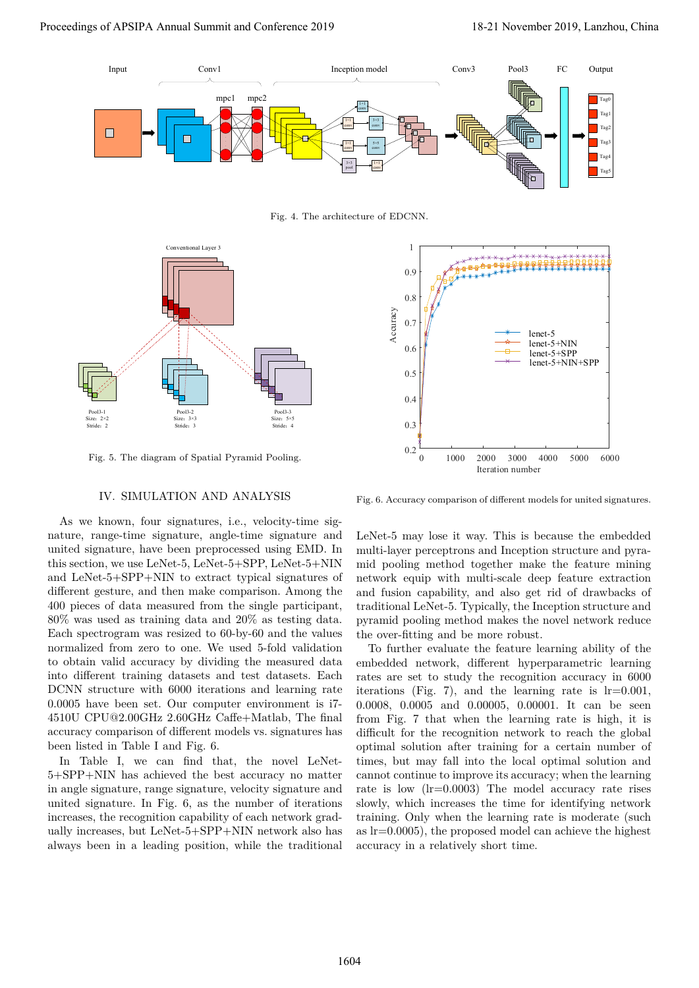

Fig. 4. The architecture of EDCNN.



Fig. 5. The diagram of Spatial Pyramid Pooling.

## IV. SIMULATION AND ANALYSIS

As we known, four signatures, i.e., velocity-time signature, range-time signature, angle-time signature and united signature, have been preprocessed using EMD. In this section, we use LeNet-5, LeNet-5+SPP, LeNet-5+NIN and LeNet-5+SPP+NIN to extract typical signatures of different gesture, and then make comparison. Among the 400 pieces of data measured from the single participant, 80% was used as training data and 20% as testing data. Each spectrogram was resized to 60-by-60 and the values normalized from zero to one. We used 5-fold validation to obtain valid accuracy by dividing the measured data into different training datasets and test datasets. Each DCNN structure with 6000 iterations and learning rate 0.0005 have been set. Our computer environment is i7- 4510U CPU@2.00GHz 2.60GHz Caffe+Matlab, The final accuracy comparison of different models vs. signatures has been listed in Table I and Fig. 6.

In Table I, we can find that, the novel LeNet-5+SPP+NIN has achieved the best accuracy no matter in angle signature, range signature, velocity signature and united signature. In Fig. 6, as the number of iterations increases, the recognition capability of each network gradually increases, but LeNet-5+SPP+NIN network also has always been in a leading position, while the traditional



Fig. 6. Accuracy comparison of different models for united signatures.

LeNet-5 may lose it way. This is because the embedded multi-layer perceptrons and Inception structure and pyramid pooling method together make the feature mining network equip with multi-scale deep feature extraction and fusion capability, and also get rid of drawbacks of traditional LeNet-5. Typically, the Inception structure and pyramid pooling method makes the novel network reduce the over-fitting and be more robust.

To further evaluate the feature learning ability of the embedded network, different hyperparametric learning rates are set to study the recognition accuracy in 6000 iterations (Fig. 7), and the learning rate is  $lr=0.001$ , 0.0008, 0.0005 and 0.00005, 0.00001. It can be seen from Fig. 7 that when the learning rate is high, it is difficult for the recognition network to reach the global optimal solution after training for a certain number of times, but may fall into the local optimal solution and cannot continue to improve its accuracy; when the learning rate is low (lr=0.0003) The model accuracy rate rises slowly, which increases the time for identifying network training. Only when the learning rate is moderate (such as lr=0.0005), the proposed model can achieve the highest accuracy in a relatively short time.